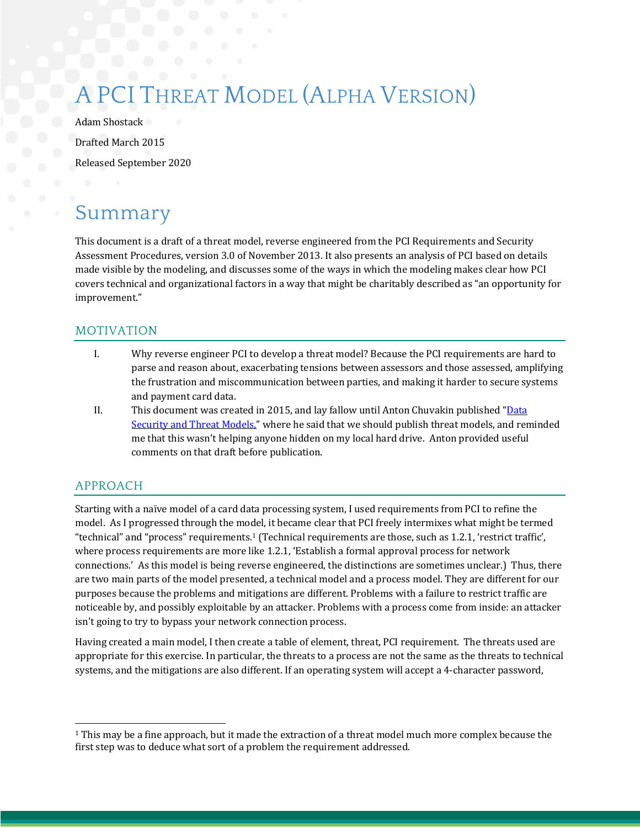# THREAT MODEL (ALPHA VERSION)

Adam Shostack Drafted March 2015 Released September 2020

### Summary

This document is a draft of a threat model, reverse engineered from the PCI Requirements and Security Assessment Procedures, version 3.0 of November 2013. It also presents an analysis of PCI based on details made visible by the modeling, and discusses some of the ways in which the modeling makes clear how PCI covers technical and organizational factors in a way that might be charitably described as "an opportunity for improvement." 

#### MOTIVATION

- I. Why reverse engineer PCI to develop a threat model? Because the PCI requirements are hard to parse and reason about, exacerbating tensions between assessors and those assessed, amplifying the frustration and miscommunication between parties, and making it harder to secure systems and payment card data.
- II. This document was created in 2015, and lay fallow until Anton Chuvakin published " $\overline{\text{Data}}$ Security and Threat Models," where he said that we should publish threat models, and reminded me that this wasn't helping anyone hidden on my local hard drive. Anton provided useful comments on that draft before publication.

### APPROACH

Starting with a naïve model of a card data processing system, I used requirements from PCI to refine the model. As I progressed through the model, it became clear that PCI freely intermixes what might be termed "technical" and "process" requirements.<sup>1</sup> (Technical requirements are those, such as 1.2.1, 'restrict traffic', where process requirements are more like 1.2.1, 'Establish a formal approval process for network connections.' As this model is being reverse engineered, the distinctions are sometimes unclear.) Thus, there are two main parts of the model presented, a technical model and a process model. They are different for our purposes because the problems and mitigations are different. Problems with a failure to restrict traffic are noticeable by, and possibly exploitable by an attacker. Problems with a process come from inside: an attacker isn't going to try to bypass your network connection process.

Having created a main model, I then create a table of element, threat, PCI requirement. The threats used are appropriate for this exercise. In particular, the threats to a process are not the same as the threats to technical systems, and the mitigations are also different. If an operating system will accept a 4-character password,

 $1$  This may be a fine approach, but it made the extraction of a threat model much more complex because the first step was to deduce what sort of a problem the requirement addressed.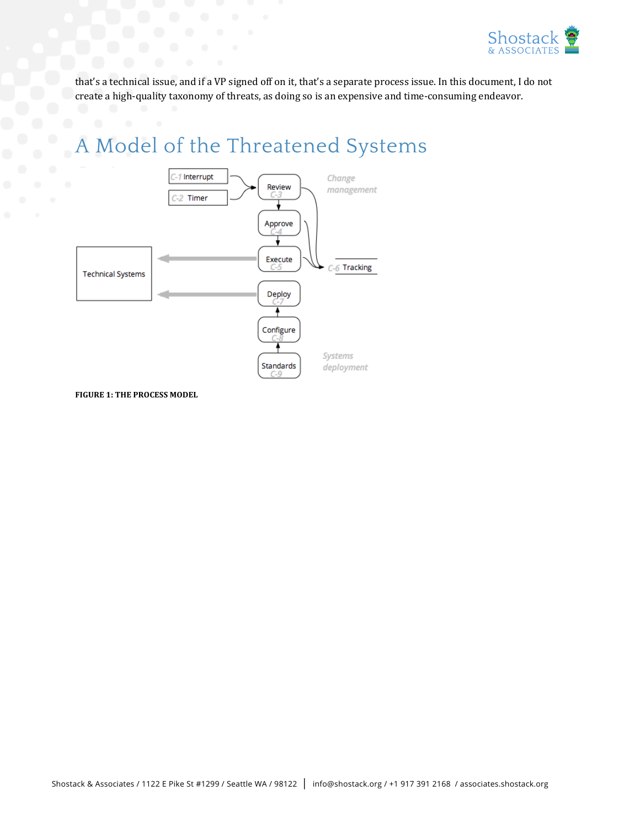

that's a technical issue, and if a VP signed off on it, that's a separate process issue. In this document, I do not create a high-quality taxonomy of threats, as doing so is an expensive and time-consuming endeavor.

### A Model of the Threatened Systems



**FIGURE 1: THE PROCESS MODEL**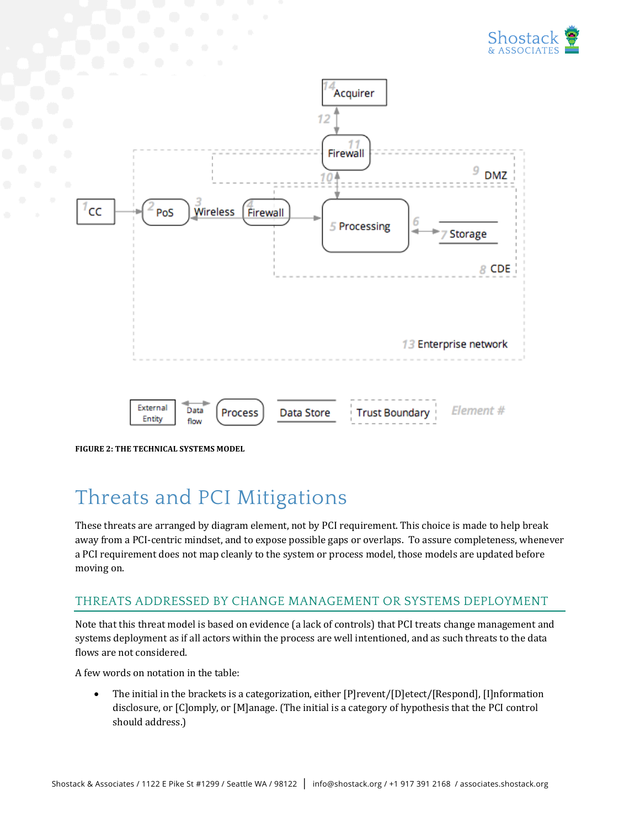



**FIGURE 2: THE TECHNICAL SYSTEMS MODEL** 

## Threats and PCI Mitigations

These threats are arranged by diagram element, not by PCI requirement. This choice is made to help break away from a PCI-centric mindset, and to expose possible gaps or overlaps. To assure completeness, whenever a PCI requirement does not map cleanly to the system or process model, those models are updated before moving on.

#### THREATS ADDRESSED BY CHANGE MANAGEMENT OR SYSTEMS DEPLOYMENT

Note that this threat model is based on evidence (a lack of controls) that PCI treats change management and systems deployment as if all actors within the process are well intentioned, and as such threats to the data flows are not considered.

A few words on notation in the table:

• The initial in the brackets is a categorization, either  $[P]$ revent/ $[D]$ etect/ $[Respond]$ ,  $[I]$ nformation disclosure, or [C]omply, or [M]anage. (The initial is a category of hypothesis that the PCI control should address.)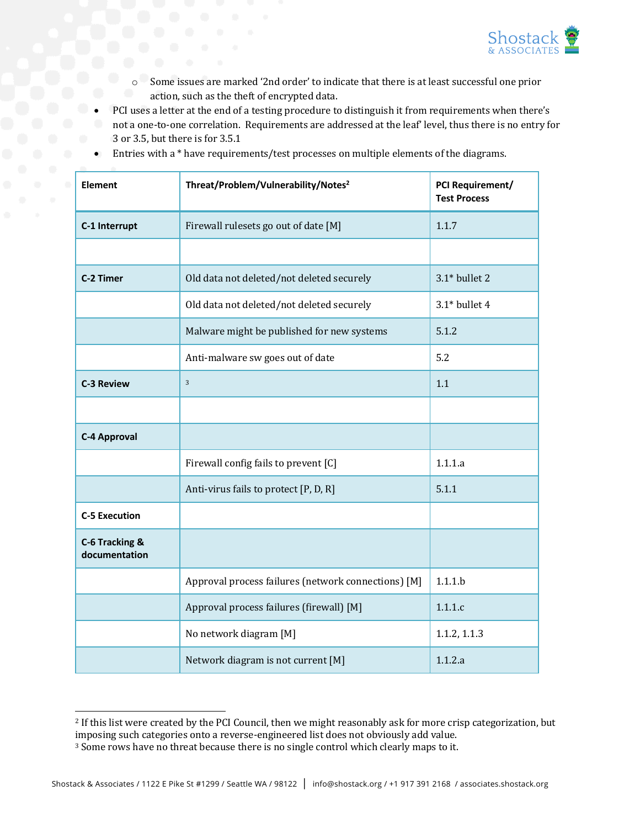

- $\circ$  Some issues are marked '2nd order' to indicate that there is at least successful one prior action, such as the theft of encrypted data.
- PCI uses a letter at the end of a testing procedure to distinguish it from requirements when there's not a one-to-one correlation. Requirements are addressed at the leaf' level, thus there is no entry for 3 or 3.5, but there is for 3.5.1

| Element                         | Threat/Problem/Vulnerability/Notes <sup>2</sup>     | PCI Requirement/<br><b>Test Process</b> |
|---------------------------------|-----------------------------------------------------|-----------------------------------------|
| C-1 Interrupt                   | Firewall rulesets go out of date [M]                | 1.1.7                                   |
|                                 |                                                     |                                         |
| C-2 Timer                       | Old data not deleted/not deleted securely           | $3.1*$ bullet 2                         |
|                                 | Old data not deleted/not deleted securely           | $3.1*$ bullet 4                         |
|                                 | Malware might be published for new systems          | 5.1.2                                   |
|                                 | Anti-malware sw goes out of date                    | 5.2                                     |
| <b>C-3 Review</b>               | 3                                                   | 1.1                                     |
|                                 |                                                     |                                         |
| <b>C-4 Approval</b>             |                                                     |                                         |
|                                 | Firewall config fails to prevent [C]                | 1.1.1.a                                 |
|                                 | Anti-virus fails to protect [P, D, R]               | 5.1.1                                   |
| <b>C-5 Execution</b>            |                                                     |                                         |
| C-6 Tracking &<br>documentation |                                                     |                                         |
|                                 | Approval process failures (network connections) [M] | 1.1.1.b                                 |
|                                 | Approval process failures (firewall) [M]            | 1.1.1.c                                 |
|                                 | No network diagram [M]                              | 1.1.2, 1.1.3                            |
|                                 | Network diagram is not current [M]                  | 1.1.2.a                                 |

• Entries with a \* have requirements/test processes on multiple elements of the diagrams.

<sup>&</sup>lt;sup>2</sup> If this list were created by the PCI Council, then we might reasonably ask for more crisp categorization, but imposing such categories onto a reverse-engineered list does not obviously add value.

<sup>&</sup>lt;sup>3</sup> Some rows have no threat because there is no single control which clearly maps to it.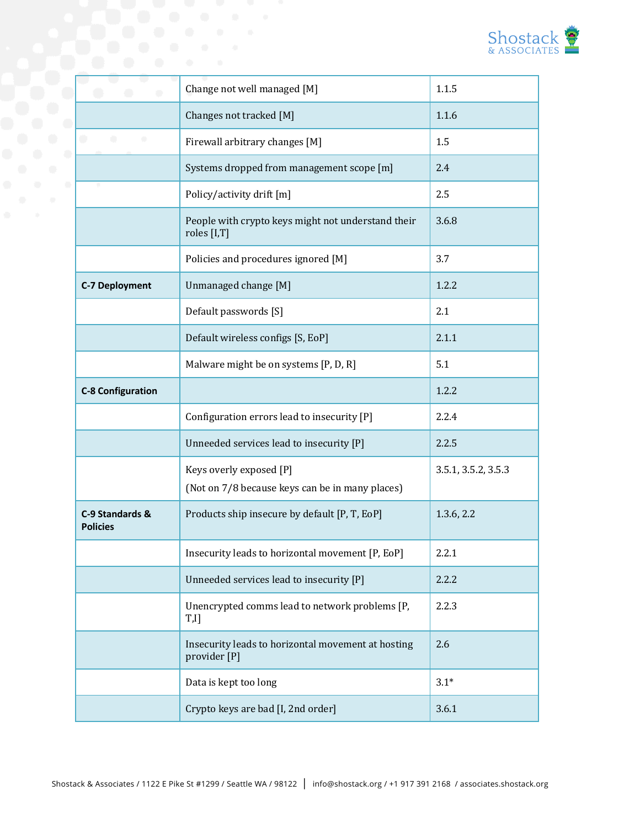

|                                    | Change not well managed [M]                                                | 1.1.5               |
|------------------------------------|----------------------------------------------------------------------------|---------------------|
|                                    | Changes not tracked [M]                                                    | 1.1.6               |
| ۰                                  | Firewall arbitrary changes [M]                                             | 1.5                 |
|                                    | Systems dropped from management scope [m]                                  | 2.4                 |
|                                    | Policy/activity drift [m]                                                  | 2.5                 |
|                                    | People with crypto keys might not understand their<br>roles [I,T]          | 3.6.8               |
|                                    | Policies and procedures ignored [M]                                        | 3.7                 |
| <b>C-7 Deployment</b>              | Unmanaged change [M]                                                       | 1.2.2               |
|                                    | Default passwords [S]                                                      | 2.1                 |
|                                    | Default wireless configs [S, EoP]                                          | 2.1.1               |
|                                    | Malware might be on systems [P, D, R]                                      | 5.1                 |
| <b>C-8 Configuration</b>           |                                                                            | 1.2.2               |
|                                    | Configuration errors lead to insecurity [P]                                | 2.2.4               |
|                                    | Unneeded services lead to insecurity [P]                                   | 2.2.5               |
|                                    | Keys overly exposed [P]<br>(Not on 7/8 because keys can be in many places) | 3.5.1, 3.5.2, 3.5.3 |
| C-9 Standards &<br><b>Policies</b> | Products ship insecure by default [P, T, EoP]                              | 1.3.6, 2.2          |
|                                    | Insecurity leads to horizontal movement [P, EoP]                           | 2.2.1               |
|                                    | Unneeded services lead to insecurity [P]                                   | 2.2.2               |
|                                    | Unencrypted comms lead to network problems [P,<br>T,I]                     | 2.2.3               |
|                                    | Insecurity leads to horizontal movement at hosting<br>provider [P]         | 2.6                 |
|                                    | Data is kept too long                                                      | $3.1*$              |
|                                    | Crypto keys are bad [I, 2nd order]                                         | 3.6.1               |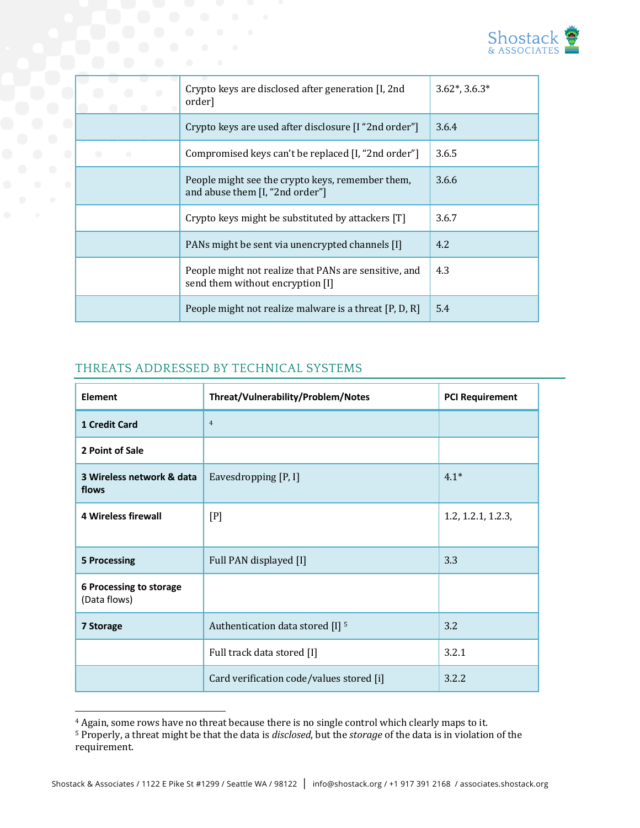

| Crypto keys are disclosed after generation [I, 2nd]<br>order]                             | $3.62^*$ , $3.6.3^*$ |
|-------------------------------------------------------------------------------------------|----------------------|
| Crypto keys are used after disclosure [I "2nd order"]                                     | 3.6.4                |
| Compromised keys can't be replaced [I, "2nd order"]                                       | 3.6.5                |
| People might see the crypto keys, remember them,<br>and abuse them [I, "2nd order"]       | 3.6.6                |
| Crypto keys might be substituted by attackers [T]                                         | 3.6.7                |
| PANs might be sent via unencrypted channels [I]                                           | 4.2                  |
| People might not realize that PANs are sensitive, and<br>send them without encryption [I] | 4.3                  |
| People might not realize malware is a threat [P, D, R]                                    | 5.4                  |

### THREATS ADDRESSED BY TECHNICAL SYSTEMS

| <b>Element</b>                          | Threat/Vulnerability/Problem/Notes          | <b>PCI Requirement</b> |
|-----------------------------------------|---------------------------------------------|------------------------|
| <b>1 Credit Card</b>                    | $\overline{4}$                              |                        |
| 2 Point of Sale                         |                                             |                        |
| 3 Wireless network & data<br>flows      | Eavesdropping [P, I]                        | $4.1*$                 |
| <b>4 Wireless firewall</b>              | [P]                                         | 1.2, 1.2.1, 1.2.3,     |
| <b>5 Processing</b>                     | Full PAN displayed [I]                      | 3.3                    |
| 6 Processing to storage<br>(Data flows) |                                             |                        |
| 7 Storage                               | Authentication data stored [I] <sup>5</sup> | 3.2                    |
|                                         | Full track data stored [I]                  | 3.2.1                  |
|                                         | Card verification code/values stored [i]    | 3.2.2                  |

<sup>&</sup>lt;sup>4</sup> Again, some rows have no threat because there is no single control which clearly maps to it.

<sup>&</sup>lt;sup>5</sup> Properly, a threat might be that the data is *disclosed*, but the *storage* of the data is in violation of the requirement.